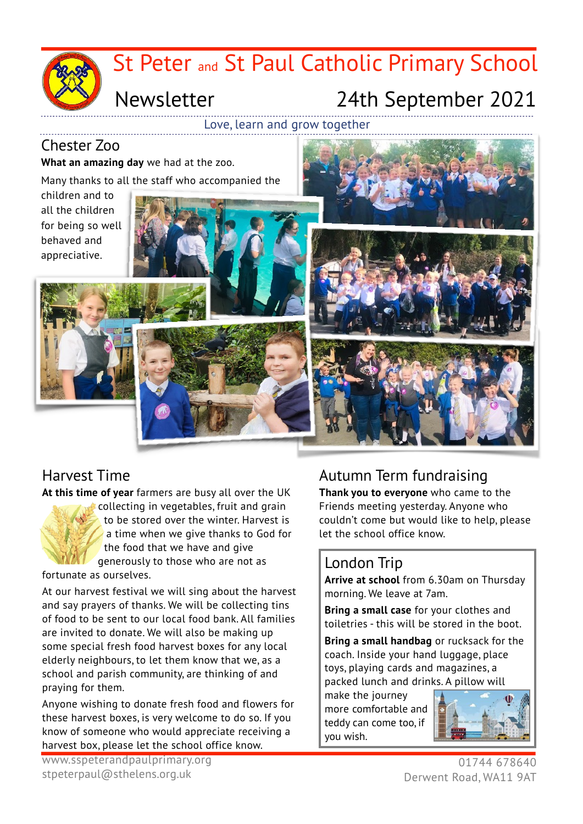

#### Chester Zoo

**What an amazing day** we had at the zoo.

Many thanks to all the staff who accompanied the

children and to all the children for being so well behaved and appreciative.

## Harvest Time

**At this time of year** farmers are busy all over the UK



fortunate as ourselves.

At our harvest festival we will sing about the harvest and say prayers of thanks. We will be collecting tins of food to be sent to our local food bank. All families are invited to donate. We will also be making up some special fresh food harvest boxes for any local elderly neighbours, to let them know that we, as a school and parish community, are thinking of and praying for them.

Anyone wishing to donate fresh food and flowers for these harvest boxes, is very welcome to do so. If you know of someone who would appreciate receiving a harvest box, please let the school office know.

## Autumn Term fundraising

**Thank you to everyone** who came to the Friends meeting yesterday. Anyone who couldn't come but would like to help, please let the school office know.

### London Trip

**Arrive at school** from 6.30am on Thursday morning. We leave at 7am.

**Bring a small case** for your clothes and toiletries - this will be stored in the boot.

**Bring a small handbag** or rucksack for the coach. Inside your hand luggage, place toys, playing cards and magazines, a packed lunch and drinks. A pillow will

make the journey more comfortable and teddy can come too, if you wish.